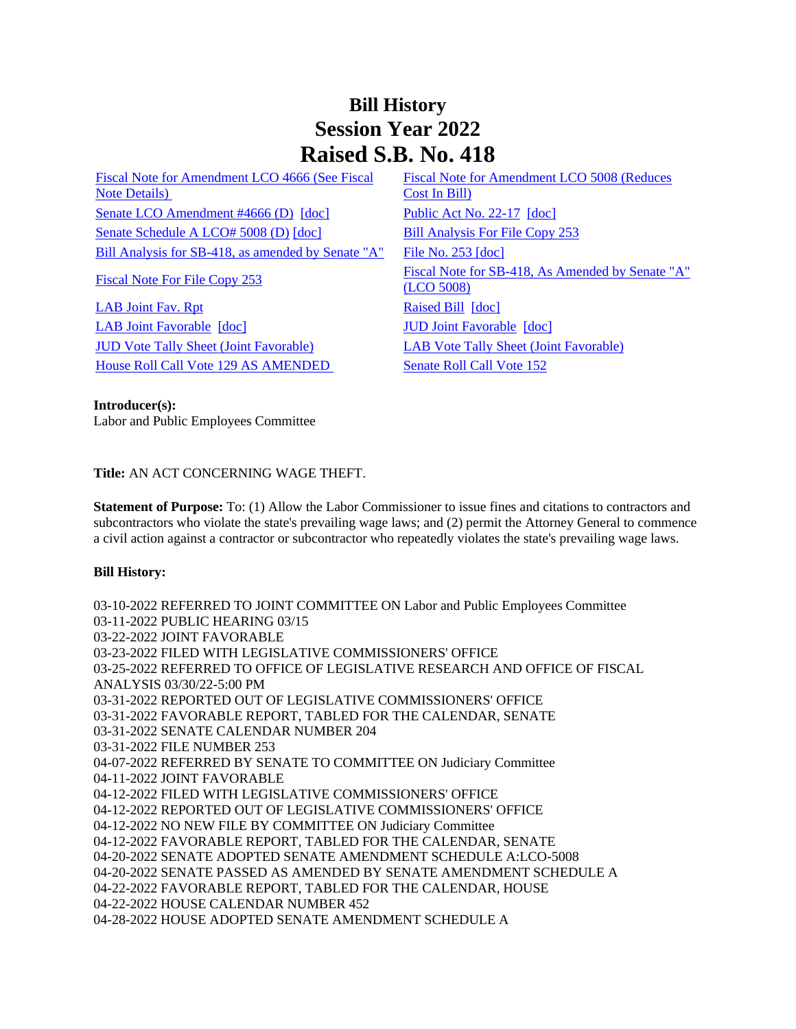## **Bill History Session Year 2022 Raised S.B. No. 418**

[Fiscal Note for Amendment LCO 4666 \(See Fiscal](/2022/fna/pdf/2022SB-00418-R00LCO04666-FNA.PDF)  [Note Details\)](/2022/fna/pdf/2022SB-00418-R00LCO04666-FNA.PDF)  [Senate LCO Amendment #4666 \(D\)](/2022/lcoamd/pdf/2022LCO04666-R00-AMD.pdf) [\[doc\]](https://search.cga.state.ct.us/dl2022/PA/DOC/2022PA-00017-R00SB-00418-PA.DOCX) [Public Act No. 22-17](/2022/ACT/PA/PDF/2022PA-00017-R00SB-00418-PA.PDF) [doc] [Senate Schedule A LCO# 5008 \(D\)](/2022/amd/S/pdf/2022SB-00418-R00SA-AMD.pdf) [\[doc\]](https://search.cga.state.ct.us/dl2022/AMd/DOC/2022SB-00418-R00SA-AMD.Docx) [Bill Analysis For File Copy 253](/2022/BA/PDF/2022SB-00418-R000253-BA.PDF) [Bill Analysis for SB-418, as amended by Senate "A"](/2022/BA/PDF/2022SB-00418-R01-BA.PDF) [File No. 253](/2022/FC/PDF/2022SB-00418-R000253-FC.PDF) [\[doc\]](https://search.cga.state.ct.us/dl2022/fc/doc/2022SB-00418-R000253-FC.docx)

[LAB Joint Fav. Rpt](/2022/JFR/S/PDF/2022SB-00418-R00LAB-JFR.PDF) [Raised Bill](/2022/TOB/S/PDF/2022SB-00418-R00-SB.PDF) [\[doc\]](https://search.cga.state.ct.us/dl2022/TOB/DOC/2022SB-00418-R00-SB.DOCX) [LAB Joint Favorable](/2022/TOB/S/PDF/2022SB-00418-R01-SB.PDF) [\[doc\]](https://search.cga.state.ct.us/dl2022/TOB/DOC/2022SB-00418-R01-SB.DOCX) [JUD Joint Favorable](/2022/TOB/S/PDF/2022SB-00418-R02-SB.PDF) [\[doc\]](https://search.cga.state.ct.us/dl2022/TOB/DOC/2022SB-00418-R02-SB.DOCX) [JUD Vote Tally Sheet \(Joint Favorable\)](/2022/TS/S/PDF/2022SB-00418-R00JUD-CV124-TS.PDF) [LAB Vote Tally Sheet \(Joint Favorable\)](/2022/TS/S/PDF/2022SB-00418-R00LAB-CV68-TS.PDF) [House Roll Call Vote 129 AS AMENDED](/2022/VOTE/H/PDF/2022HV-00129-R00SB00418-HV.PDF) Senate Roll Call Vote 152

[Fiscal Note for Amendment LCO 5008 \(Reduces](/2022/fna/pdf/2022SB-00418-R00LCO05008-FNA.pdf)  [Cost In Bill\)](/2022/fna/pdf/2022SB-00418-R00LCO05008-FNA.pdf)  [Fiscal Note For File Copy 253](/2022/FN/PDF/2022SB-00418-R000253-FN.PDF) Fiscal Note for SB-418, As Amended by Senate "A" [\(LCO 5008\)](/2022/FN/PDF/2022SB-00418-R01-FN.PDF)

## **Introducer(s):**

Labor and Public Employees Committee

**Title:** AN ACT CONCERNING WAGE THEFT.

**Statement of Purpose:** To: (1) Allow the Labor Commissioner to issue fines and citations to contractors and subcontractors who violate the state's prevailing wage laws; and (2) permit the Attorney General to commence a civil action against a contractor or subcontractor who repeatedly violates the state's prevailing wage laws.

## **Bill History:**

03-10-2022 REFERRED TO JOINT COMMITTEE ON Labor and Public Employees Committee 03-11-2022 PUBLIC HEARING 03/15 03-22-2022 JOINT FAVORABLE 03-23-2022 FILED WITH LEGISLATIVE COMMISSIONERS' OFFICE 03-25-2022 REFERRED TO OFFICE OF LEGISLATIVE RESEARCH AND OFFICE OF FISCAL ANALYSIS 03/30/22-5:00 PM 03-31-2022 REPORTED OUT OF LEGISLATIVE COMMISSIONERS' OFFICE 03-31-2022 FAVORABLE REPORT, TABLED FOR THE CALENDAR, SENATE 03-31-2022 SENATE CALENDAR NUMBER 204 03-31-2022 FILE NUMBER 253 04-07-2022 REFERRED BY SENATE TO COMMITTEE ON Judiciary Committee 04-11-2022 JOINT FAVORABLE 04-12-2022 FILED WITH LEGISLATIVE COMMISSIONERS' OFFICE 04-12-2022 REPORTED OUT OF LEGISLATIVE COMMISSIONERS' OFFICE 04-12-2022 NO NEW FILE BY COMMITTEE ON Judiciary Committee 04-12-2022 FAVORABLE REPORT, TABLED FOR THE CALENDAR, SENATE 04-20-2022 SENATE ADOPTED SENATE AMENDMENT SCHEDULE A:LCO-5008 04-20-2022 SENATE PASSED AS AMENDED BY SENATE AMENDMENT SCHEDULE A 04-22-2022 FAVORABLE REPORT, TABLED FOR THE CALENDAR, HOUSE 04-22-2022 HOUSE CALENDAR NUMBER 452 04-28-2022 HOUSE ADOPTED SENATE AMENDMENT SCHEDULE A